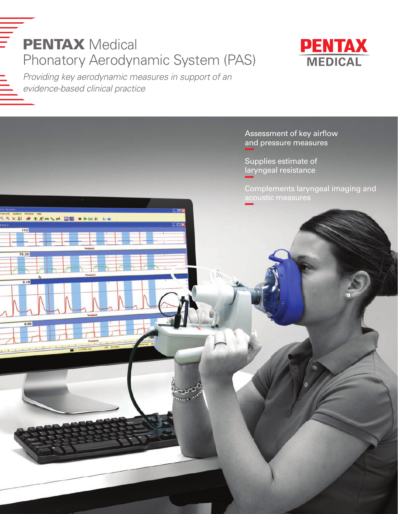



*Providing key aerodynamic measures in support of an evidence-based clinical practice*